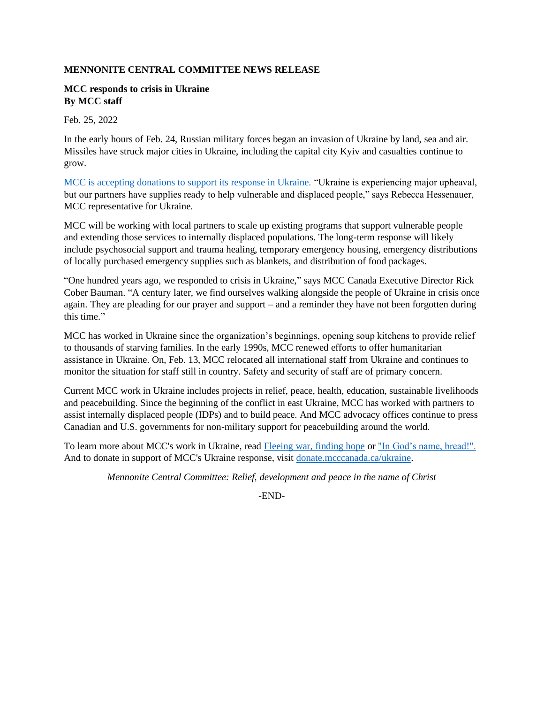## **MENNONITE CENTRAL COMMITTEE NEWS RELEASE**

## **MCC responds to crisis in Ukraine By MCC staff**

Feb. 25, 2022

In the early hours of Feb. 24, Russian military forces began an invasion of Ukraine by land, sea and air. Missiles have struck major cities in Ukraine, including the capital city Kyiv and casualties continue to grow.

[MCC is accepting donations to support its response in Ukraine.](https://donate.mcccanada.ca/cause/ukraine-emergency-response) "Ukraine is experiencing major upheaval, but our partners have supplies ready to help vulnerable and displaced people," says Rebecca Hessenauer, MCC representative for Ukraine.

MCC will be working with local partners to scale up existing programs that support vulnerable people and extending those services to internally displaced populations. The long-term response will likely include psychosocial support and trauma healing, temporary emergency housing, emergency distributions of locally purchased emergency supplies such as blankets, and distribution of food packages.

"One hundred years ago, we responded to crisis in Ukraine," says MCC Canada Executive Director Rick Cober Bauman. "A century later, we find ourselves walking alongside the people of Ukraine in crisis once again. They are pleading for our prayer and support – and a reminder they have not been forgotten during this time."

MCC has worked in Ukraine since the organization's beginnings, opening soup kitchens to provide relief to thousands of starving families. In the early 1990s, MCC renewed efforts to offer humanitarian assistance in Ukraine. On, Feb. 13, MCC relocated all international staff from Ukraine and continues to monitor the situation for staff still in country. Safety and security of staff are of primary concern.

Current MCC work in Ukraine includes projects in relief, peace, health, education, sustainable livelihoods and peacebuilding. Since the beginning of the conflict in east Ukraine, MCC has worked with partners to assist internally displaced people (IDPs) and to build peace. And MCC advocacy offices continue to press Canadian and U.S. governments for non-military support for peacebuilding around the world.

To learn more about MCC's work in Ukraine, read [Fleeing war, finding hope](https://mcccanada.ca/stories/fleeing-war-finding-hope) or ["In God's name, bread!".](https://mcccanada.ca/stories/gods-name-bread) And to donate in support of MCC's Ukraine response, visit [donate.mcccanada.ca/ukraine.](https://donate.mcccanada.ca/cause/ukraine-emergency-response)

*Mennonite Central Committee: Relief, development and peace in the name of Christ*

-END-